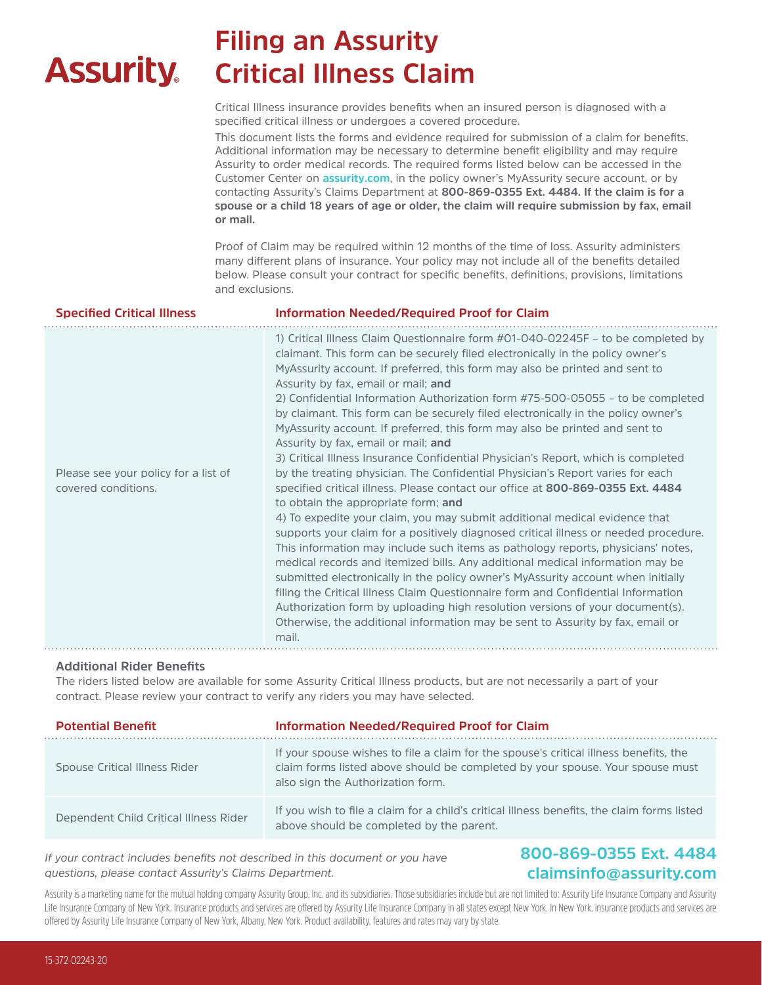# **Assurity.**

# **Filing an Assurity Critical Illness Claim**

Critical Illness insurance provides benefits when an insured person is diagnosed with a specified critical illness or undergoes a covered procedure.

This document lists the forms and evidence required for submission of a claim for benefits. Additional information may be necessary to determine benefit eligibility and may require Assurity to order medical records. The required forms listed below can be accessed in the Customer Center on **assurity.com**, in the policy owner's MyAssurity secure account, or by contacting Assurity's Claims Department at **800-869-0355 Ext. 4484. If the claim is for a spouse or a child 18 years of age or older, the claim will require submission by fax, email or mail.**

Proof of Claim may be required within 12 months of the time of loss. Assurity administers many different plans of insurance. Your policy may not include all of the benefits detailed below. Please consult your contract for specific benefits, definitions, provisions, limitations and exclusions.

| <b>Specified Critical Illness</b>                           | Information Needed/Required Proof for Claim                                                                                                                                                                                                                                                                                                                                                                                                                                                                                                                                                                                                                                                                                                                                                                                                                                                                                                                                                                                                                                                                                                                                                                                                                                                                                                                                                                                                                                                                                                                                            |  |  |
|-------------------------------------------------------------|----------------------------------------------------------------------------------------------------------------------------------------------------------------------------------------------------------------------------------------------------------------------------------------------------------------------------------------------------------------------------------------------------------------------------------------------------------------------------------------------------------------------------------------------------------------------------------------------------------------------------------------------------------------------------------------------------------------------------------------------------------------------------------------------------------------------------------------------------------------------------------------------------------------------------------------------------------------------------------------------------------------------------------------------------------------------------------------------------------------------------------------------------------------------------------------------------------------------------------------------------------------------------------------------------------------------------------------------------------------------------------------------------------------------------------------------------------------------------------------------------------------------------------------------------------------------------------------|--|--|
| Please see your policy for a list of<br>covered conditions. | 1) Critical Illness Claim Questionnaire form #01-040-02245F – to be completed by<br>claimant. This form can be securely filed electronically in the policy owner's<br>MyAssurity account. If preferred, this form may also be printed and sent to<br>Assurity by fax, email or mail; and<br>2) Confidential Information Authorization form #75-500-05055 – to be completed<br>by claimant. This form can be securely filed electronically in the policy owner's<br>MyAssurity account. If preferred, this form may also be printed and sent to<br>Assurity by fax, email or mail; and<br>3) Critical Illness Insurance Confidential Physician's Report, which is completed<br>by the treating physician. The Confidential Physician's Report varies for each<br>specified critical illness. Please contact our office at 800-869-0355 Ext. 4484<br>to obtain the appropriate form; and<br>4) To expedite your claim, you may submit additional medical evidence that<br>supports your claim for a positively diagnosed critical illness or needed procedure.<br>This information may include such items as pathology reports, physicians' notes,<br>medical records and itemized bills. Any additional medical information may be<br>submitted electronically in the policy owner's MyAssurity account when initially<br>filing the Critical Illness Claim Questionnaire form and Confidential Information<br>Authorization form by uploading high resolution versions of your document(s).<br>Otherwise, the additional information may be sent to Assurity by fax, email or<br>mail. |  |  |

### **Additional Rider Benefits**

The riders listed below are available for some Assurity Critical Illness products, but are not necessarily a part of your contract. Please review your contract to verify any riders you may have selected.

| <b>Potential Benefit</b>               | <b>Information Needed/Required Proof for Claim</b>                                                                                                                                                          |  |  |
|----------------------------------------|-------------------------------------------------------------------------------------------------------------------------------------------------------------------------------------------------------------|--|--|
| Spouse Critical Illness Rider          | If your spouse wishes to file a claim for the spouse's critical illness benefits, the<br>claim forms listed above should be completed by your spouse. Your spouse must<br>also sign the Authorization form. |  |  |
| Dependent Child Critical Illness Rider | If you wish to file a claim for a child's critical illness benefits, the claim forms listed<br>above should be completed by the parent.                                                                     |  |  |

*If your contract includes benefits not described in this document or you have questions, please contact Assurity's Claims Department.* 

### **800-869-0355 Ext. 4484 claimsinfo@assurity.com**

Assurity is a marketing name for the mutual holding company Assurity Group, Inc. and its subsidiaries. Those subsidiaries include but are not limited to: Assurity Life Insurance Company and Assurity Life Insurance Company of New York. Insurance products and services are offered by Assurity Life Insurance Company in all states except New York. In New York, insurance products and services are offered by Assurity Life Insurance Company of New York, Albany, New York. Product availability, features and rates may vary by state.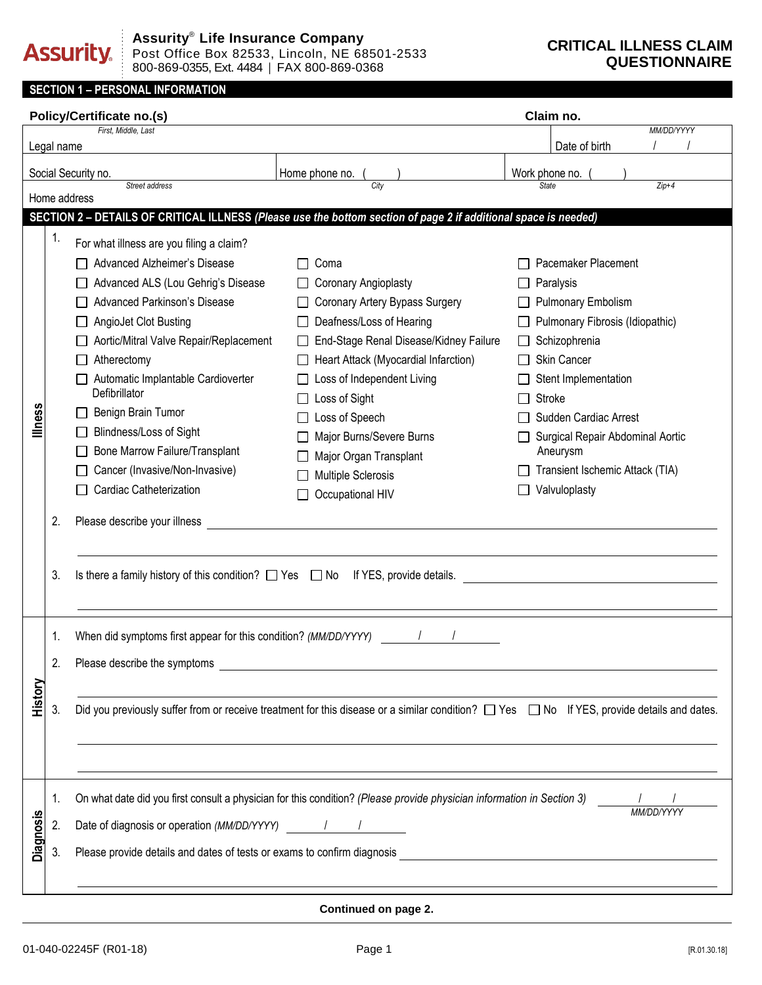# **Assurity.**

### **CRITICAL ILLNESS CLAIM QUESTIONNAIRE**

### **SECTION 1 – PERSONAL INFORMATION**

|                     |              | <b>Policy/Certificate no.(s)</b>                                                                                                                     |                                                                                                                        |                                                       | Claim no.                        |            |  |  |  |
|---------------------|--------------|------------------------------------------------------------------------------------------------------------------------------------------------------|------------------------------------------------------------------------------------------------------------------------|-------------------------------------------------------|----------------------------------|------------|--|--|--|
|                     |              | First, Middle, Last                                                                                                                                  |                                                                                                                        |                                                       | Date of birth                    | MM/DD/YYYY |  |  |  |
|                     | Legal name   |                                                                                                                                                      |                                                                                                                        |                                                       |                                  |            |  |  |  |
| Social Security no. |              |                                                                                                                                                      | Home phone no.<br>City                                                                                                 |                                                       | Work phone no.<br>State          | $Zip+4$    |  |  |  |
|                     | Home address | Street address                                                                                                                                       |                                                                                                                        |                                                       |                                  |            |  |  |  |
|                     |              |                                                                                                                                                      | SECTION 2 - DETAILS OF CRITICAL ILLNESS (Please use the bottom section of page 2 if additional space is needed)        |                                                       |                                  |            |  |  |  |
|                     | 1.           | For what illness are you filing a claim?                                                                                                             |                                                                                                                        |                                                       |                                  |            |  |  |  |
|                     |              | Advanced Alzheimer's Disease                                                                                                                         | Coma                                                                                                                   |                                                       | Pacemaker Placement              |            |  |  |  |
|                     |              | Advanced ALS (Lou Gehrig's Disease                                                                                                                   | □ Coronary Angioplasty                                                                                                 |                                                       | Paralysis                        |            |  |  |  |
|                     |              | Advanced Parkinson's Disease                                                                                                                         | Coronary Artery Bypass Surgery                                                                                         | Pulmonary Embolism<br>Pulmonary Fibrosis (Idiopathic) |                                  |            |  |  |  |
|                     |              | AngioJet Clot Busting                                                                                                                                | Deafness/Loss of Hearing                                                                                               |                                                       |                                  |            |  |  |  |
|                     |              | Aortic/Mitral Valve Repair/Replacement                                                                                                               | End-Stage Renal Disease/Kidney Failure                                                                                 |                                                       | Schizophrenia                    |            |  |  |  |
|                     |              | Atherectomy                                                                                                                                          | Heart Attack (Myocardial Infarction)                                                                                   |                                                       | Skin Cancer                      |            |  |  |  |
|                     |              | Automatic Implantable Cardioverter                                                                                                                   | Loss of Independent Living                                                                                             |                                                       | Stent Implementation             |            |  |  |  |
|                     |              | Defibrillator                                                                                                                                        | Loss of Sight                                                                                                          |                                                       | <b>Stroke</b>                    |            |  |  |  |
| llness              |              | Benign Brain Tumor                                                                                                                                   | Loss of Speech                                                                                                         |                                                       | Sudden Cardiac Arrest            |            |  |  |  |
|                     |              | <b>Blindness/Loss of Sight</b>                                                                                                                       | Major Burns/Severe Burns                                                                                               |                                                       | Surgical Repair Abdominal Aortic |            |  |  |  |
|                     |              | Bone Marrow Failure/Transplant                                                                                                                       | Major Organ Transplant                                                                                                 |                                                       | Aneurysm                         |            |  |  |  |
|                     |              | Cancer (Invasive/Non-Invasive)                                                                                                                       | Multiple Sclerosis                                                                                                     |                                                       | Transient Ischemic Attack (TIA)  |            |  |  |  |
|                     |              | Cardiac Catheterization                                                                                                                              | Occupational HIV                                                                                                       |                                                       | Valvuloplasty                    |            |  |  |  |
|                     | 2.           | Please describe your illness                                                                                                                         |                                                                                                                        |                                                       |                                  |            |  |  |  |
|                     |              |                                                                                                                                                      |                                                                                                                        |                                                       |                                  |            |  |  |  |
|                     |              |                                                                                                                                                      |                                                                                                                        |                                                       |                                  |            |  |  |  |
|                     | 3.           | Is there a family history of this condition? $\Box$ Yes $\Box$ No If YES, provide details.                                                           |                                                                                                                        |                                                       |                                  |            |  |  |  |
|                     |              |                                                                                                                                                      |                                                                                                                        |                                                       |                                  |            |  |  |  |
|                     |              |                                                                                                                                                      |                                                                                                                        |                                                       |                                  |            |  |  |  |
|                     | 1.           | When did symptoms first appear for this condition? (MM/DD/YYYY)                                                                                      |                                                                                                                        |                                                       |                                  |            |  |  |  |
|                     | 2.           | Please describe the symptoms                                                                                                                         |                                                                                                                        |                                                       |                                  |            |  |  |  |
|                     |              |                                                                                                                                                      |                                                                                                                        |                                                       |                                  |            |  |  |  |
| History             |              |                                                                                                                                                      |                                                                                                                        |                                                       |                                  |            |  |  |  |
|                     | 3.           | Did you previously suffer from or receive treatment for this disease or a similar condition? $\Box$ Yes $\Box$ No If YES, provide details and dates. |                                                                                                                        |                                                       |                                  |            |  |  |  |
|                     |              |                                                                                                                                                      |                                                                                                                        |                                                       |                                  |            |  |  |  |
|                     |              |                                                                                                                                                      |                                                                                                                        |                                                       |                                  |            |  |  |  |
|                     |              |                                                                                                                                                      |                                                                                                                        |                                                       |                                  |            |  |  |  |
|                     | 1.           |                                                                                                                                                      | On what date did you first consult a physician for this condition? (Please provide physician information in Section 3) |                                                       |                                  |            |  |  |  |
|                     | 2.           | Date of diagnosis or operation (MM/DD/YYYY) / / /                                                                                                    |                                                                                                                        |                                                       |                                  | MM/DD/YYYY |  |  |  |
| <b>Diagnosis</b>    |              |                                                                                                                                                      |                                                                                                                        |                                                       |                                  |            |  |  |  |
|                     | 3.           | Please provide details and dates of tests or exams to confirm diagnosis                                                                              |                                                                                                                        |                                                       |                                  |            |  |  |  |
|                     |              |                                                                                                                                                      |                                                                                                                        |                                                       |                                  |            |  |  |  |

#### **Continued on page 2.**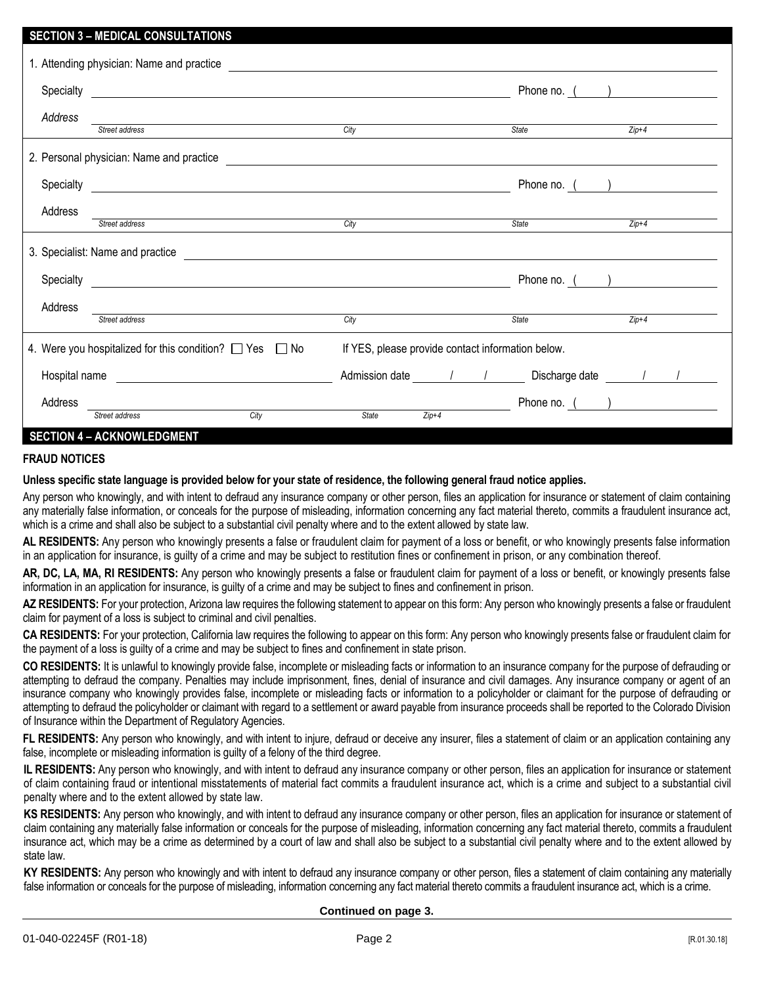# **SECTION 3 – MEDICAL CONSULTATIONS** 1. Attending physician: Name and practice Specialty Phone no. ( ) *Address Street address City State Zip+4* 2. Personal physician: Name and practice Specialty Phone no. ( ) Address *Street address City State Zip+4* 3. Specialist: Name and practice Specialty **Phone no.** ( ) Address *Street address City State Zip+4* 4. Were you hospitalized for this condition?  $\Box$  Yes  $\Box$  No If YES, please provide contact information below. Hospital name and the Admission date and the Discharge date and the Muslim of the Muslim of the Admission date  $\ell$  /  $\ell$

## Address **Address Phone no.** ( ) Street address City State **2**  $\frac{2 \text{ln} + 4}{2 \text{ln} + 4}$  Phone no. ( *Street address City State Zip+4*

# **SECTION 4 – ACKNOWLEDGMENT**

### **FRAUD NOTICES**

#### **Unless specific state language is provided below for your state of residence, the following general fraud notice applies.**

Any person who knowingly, and with intent to defraud any insurance company or other person, files an application for insurance or statement of claim containing any materially false information, or conceals for the purpose of misleading, information concerning any fact material thereto, commits a fraudulent insurance act, which is a crime and shall also be subject to a substantial civil penalty where and to the extent allowed by state law.

**AL RESIDENTS:** Any person who knowingly presents a false or fraudulent claim for payment of a loss or benefit, or who knowingly presents false information in an application for insurance, is guilty of a crime and may be subject to restitution fines or confinement in prison, or any combination thereof.

**AR, DC, LA, MA, RI RESIDENTS:** Any person who knowingly presents a false or fraudulent claim for payment of a loss or benefit, or knowingly presents false information in an application for insurance, is guilty of a crime and may be subject to fines and confinement in prison.

AZ RESIDENTS: For your protection, Arizona law requires the following statement to appear on this form: Any person who knowingly presents a false or fraudulent claim for payment of a loss is subject to criminal and civil penalties.

**CA RESIDENTS:** For your protection, California law requires the following to appear on this form: Any person who knowingly presents false or fraudulent claim for the payment of a loss is guilty of a crime and may be subject to fines and confinement in state prison.

**CO RESIDENTS:** It is unlawful to knowingly provide false, incomplete or misleading facts or information to an insurance company for the purpose of defrauding or attempting to defraud the company. Penalties may include imprisonment, fines, denial of insurance and civil damages. Any insurance company or agent of an insurance company who knowingly provides false, incomplete or misleading facts or information to a policyholder or claimant for the purpose of defrauding or attempting to defraud the policyholder or claimant with regard to a settlement or award payable from insurance proceeds shall be reported to the Colorado Division of Insurance within the Department of Regulatory Agencies.

**FL RESIDENTS:** Any person who knowingly, and with intent to injure, defraud or deceive any insurer, files a statement of claim or an application containing any false, incomplete or misleading information is guilty of a felony of the third degree.

**IL RESIDENTS:** Any person who knowingly, and with intent to defraud any insurance company or other person, files an application for insurance or statement of claim containing fraud or intentional misstatements of material fact commits a fraudulent insurance act, which is a crime and subject to a substantial civil penalty where and to the extent allowed by state law.

**KS RESIDENTS:** Any person who knowingly, and with intent to defraud any insurance company or other person, files an application for insurance or statement of claim containing any materially false information or conceals for the purpose of misleading, information concerning any fact material thereto, commits a fraudulent insurance act, which may be a crime as determined by a court of law and shall also be subject to a substantial civil penalty where and to the extent allowed by state law.

**KY RESIDENTS:** Any person who knowingly and with intent to defraud any insurance company or other person, files a statement of claim containing any materially false information or conceals for the purpose of misleading, information concerning any fact material thereto commits a fraudulent insurance act, which is a crime.

**Continued on page 3.**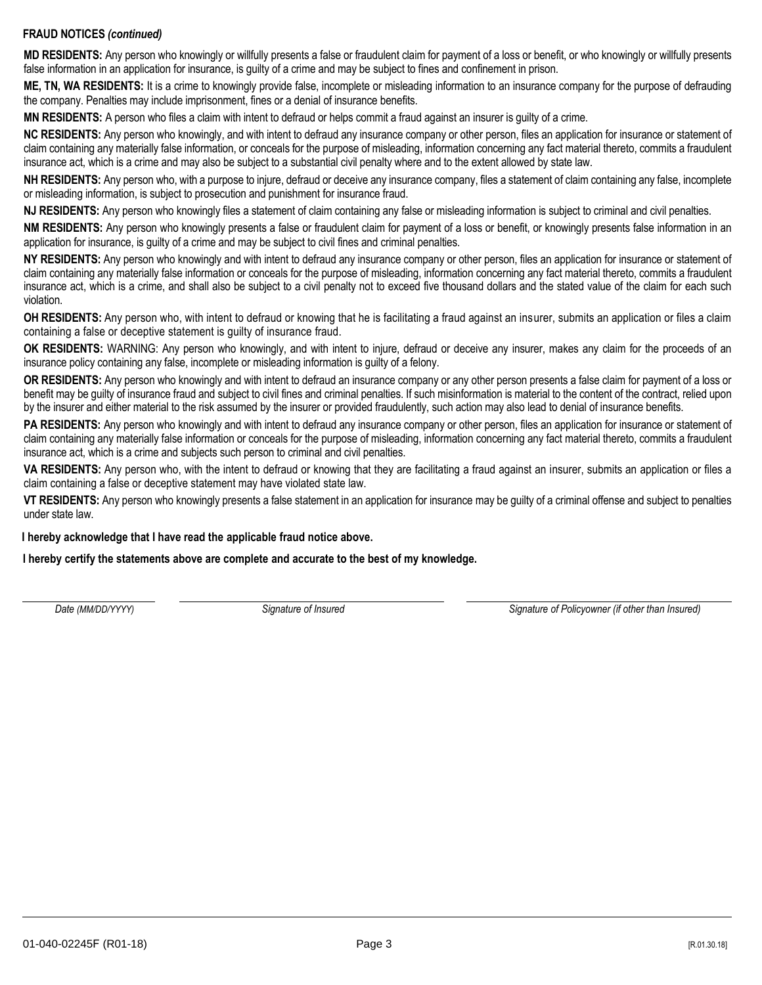### **FRAUD NOTICES** *(continued)*

**MD RESIDENTS:** Any person who knowingly or willfully presents a false or fraudulent claim for payment of a loss or benefit, or who knowingly or willfully presents false information in an application for insurance, is guilty of a crime and may be subject to fines and confinement in prison.

**ME, TN, WA RESIDENTS:** It is a crime to knowingly provide false, incomplete or misleading information to an insurance company for the purpose of defrauding the company. Penalties may include imprisonment, fines or a denial of insurance benefits.

**MN RESIDENTS:** A person who files a claim with intent to defraud or helps commit a fraud against an insurer is guilty of a crime.

**NC RESIDENTS:** Any person who knowingly, and with intent to defraud any insurance company or other person, files an application for insurance or statement of claim containing any materially false information, or conceals for the purpose of misleading, information concerning any fact material thereto, commits a fraudulent insurance act, which is a crime and may also be subject to a substantial civil penalty where and to the extent allowed by state law.

**NH RESIDENTS:** Any person who, with a purpose to injure, defraud or deceive any insurance company, files a statement of claim containing any false, incomplete or misleading information, is subject to prosecution and punishment for insurance fraud.

**NJ RESIDENTS:** Any person who knowingly files a statement of claim containing any false or misleading information is subject to criminal and civil penalties.

**NM RESIDENTS:** Any person who knowingly presents a false or fraudulent claim for payment of a loss or benefit, or knowingly presents false information in an application for insurance, is guilty of a crime and may be subject to civil fines and criminal penalties.

**NY RESIDENTS:** Any person who knowingly and with intent to defraud any insurance company or other person, files an application for insurance or statement of claim containing any materially false information or conceals for the purpose of misleading, information concerning any fact material thereto, commits a fraudulent insurance act, which is a crime, and shall also be subject to a civil penalty not to exceed five thousand dollars and the stated value of the claim for each such violation.

**OH RESIDENTS:** Any person who, with intent to defraud or knowing that he is facilitating a fraud against an insurer, submits an application or files a claim containing a false or deceptive statement is guilty of insurance fraud.

**OK RESIDENTS:** WARNING: Any person who knowingly, and with intent to injure, defraud or deceive any insurer, makes any claim for the proceeds of an insurance policy containing any false, incomplete or misleading information is guilty of a felony.

**OR RESIDENTS:** Any person who knowingly and with intent to defraud an insurance company or any other person presents a false claim for payment of a loss or benefit may be guilty of insurance fraud and subject to civil fines and criminal penalties. If such misinformation is material to the content of the contract, relied upon by the insurer and either material to the risk assumed by the insurer or provided fraudulently, such action may also lead to denial of insurance benefits.

PA RESIDENTS: Any person who knowingly and with intent to defraud any insurance company or other person, files an application for insurance or statement of claim containing any materially false information or conceals for the purpose of misleading, information concerning any fact material thereto, commits a fraudulent insurance act, which is a crime and subjects such person to criminal and civil penalties.

**VA RESIDENTS:** Any person who, with the intent to defraud or knowing that they are facilitating a fraud against an insurer, submits an application or files a claim containing a false or deceptive statement may have violated state law.

**VT RESIDENTS:** Any person who knowingly presents a false statement in an application for insurance may be guilty of a criminal offense and subject to penalties under state law.

**I hereby acknowledge that I have read the applicable fraud notice above.**

**I hereby certify the statements above are complete and accurate to the best of my knowledge.**

*Date (MM/DD/YYYY) Signature of Insured Signature of Policyowner (if other than Insured)*